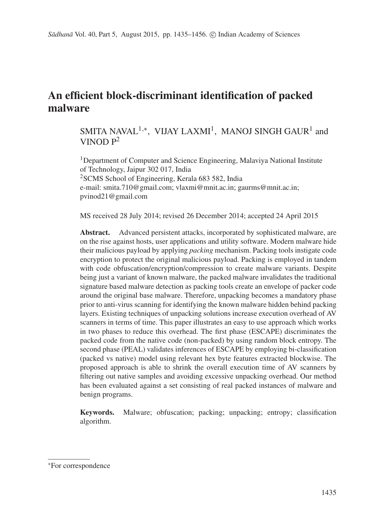# **An efficient block-discriminant identification of packed malware**

# SMITA NAVAL<sup>1,∗</sup>, VIJAY LAXMI<sup>1</sup>, MANOJ SINGH GAUR<sup>1</sup> and VINOD  $P^2$

<sup>1</sup>Department of Computer and Science Engineering, Malaviya National Institute of Technology, Jaipur 302 017, India <sup>2</sup>SCMS School of Engineering, Kerala 683 582, India e-mail: smita.710@gmail.com; vlaxmi@mnit.ac.in; gaurms@mnit.ac.in; pvinod21@gmail.com

MS received 28 July 2014; revised 26 December 2014; accepted 24 April 2015

**Abstract.** Advanced persistent attacks, incorporated by sophisticated malware, are on the rise against hosts, user applications and utility software. Modern malware hide their malicious payload by applying *packing* mechanism. Packing tools instigate code encryption to protect the original malicious payload. Packing is employed in tandem with code obfuscation/encryption/compression to create malware variants. Despite being just a variant of known malware, the packed malware invalidates the traditional signature based malware detection as packing tools create an envelope of packer code around the original base malware. Therefore, unpacking becomes a mandatory phase prior to anti-virus scanning for identifying the known malware hidden behind packing layers. Existing techniques of unpacking solutions increase execution overhead of AV scanners in terms of time. This paper illustrates an easy to use approach which works in two phases to reduce this overhead. The first phase (ESCAPE) discriminates the packed code from the native code (non-packed) by using random block entropy. The second phase (PEAL) validates inferences of ESCAPE by employing bi-classification (packed vs native) model using relevant hex byte features extracted blockwise. The proposed approach is able to shrink the overall execution time of AV scanners by filtering out native samples and avoiding excessive unpacking overhead. Our method has been evaluated against a set consisting of real packed instances of malware and benign programs.

**Keywords.** Malware; obfuscation; packing; unpacking; entropy; classification algorithm.

<sup>∗</sup>For correspondence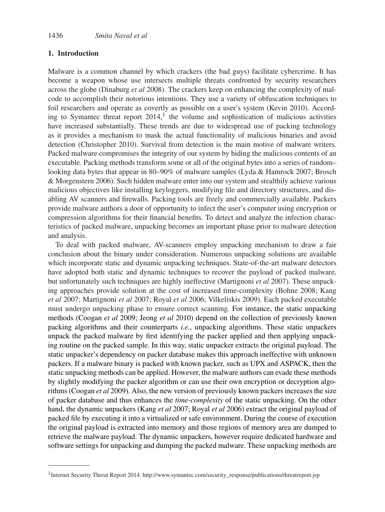### **1. Introduction**

Malware is a common channel by which crackers (the bad guys) facilitate cybercrime. It has become a weapon whose use intersects multiple threats confronted by security researchers across the globe (Dinaburg *et al* 2008). The crackers keep on enhancing the complexity of malcode to accomplish their notorious intentions. They use a variety of obfuscation techniques to foil researchers and operate as covertly as possible on a user's system (Kevin 2010). According to Symantec threat report  $2014$ ,<sup>1</sup> the volume and sophistication of malicious activities have increased substantially. These trends are due to widespread use of packing technology as it provides a mechanism to mask the actual functionality of malicious binaries and avoid detection (Christopher 2010). Survival from detection is the main motive of malware writers. Packed malware compromises the integrity of our system by hiding the malicious contents of an executable. Packing methods transform some or all of the original bytes into a series of random– looking data bytes that appear in 80–90% of malware samples (Lyda & Hamrock 2007; Brosch & Morgenstern 2006). Such hidden malware enter into our system and stealthily achieve various malicious objectives like installing keyloggers, modifying file and directory structures, and disabling AV scanners and firewalls. Packing tools are freely and commercially available. Packers provide malware authors a door of opportunity to infect the user's computer using encryption or compression algorithms for their financial benefits. To detect and analyze the infection characteristics of packed malware, unpacking becomes an important phase prior to malware detection and analysis.

To deal with packed malware, AV-scanners employ unpacking mechanism to draw a fair conclusion about the binary under consideration. Numerous unpacking solutions are available which incorporate static and dynamic unpacking techniques. State-of-the-art malware detectors have adopted both static and dynamic techniques to recover the payload of packed malware, but unfortunately such techniques are highly ineffective (Martignoni *et al* 2007). These unpacking approaches provide solution at the cost of increased time-complexity (Bohne 2008; Kang *et al* 2007; Martignoni *et al* 2007; Royal *et al* 2006; Vilkeliskis 2009). Each packed executable must undergo unpacking phase to ensure correct scanning. For instance, the static unpacking methods (Coogan *et al* 2009; Jeong *et al* 2010) depend on the collection of previously known packing algorithms and their counterparts *i.e.*, unpacking algorithms. These static unpackers unpack the packed malware by first identifying the packer applied and then applying unpacking routine on the packed sample. In this way, static unpacker extracts the original payload. The static unpacker's dependency on packer database makes this approach ineffective with unknown packers. If a malware binary is packed with known packer, such as UPX and ASPACK, then the static unpacking methods can be applied. However, the malware authors can evade these methods by slightly modifying the packer algorithm or can use their own encryption or decryption algorithms (Coogan *et al* 2009). Also, the new version of previously known packers increases the size of packer database and thus enhances the *time-complexity* of the static unpacking. On the other hand, the dynamic unpackers (Kang *et al* 2007; Royal *et al* 2006) extract the original payload of packed file by executing it into a virtualized or safe environment. During the course of execution the original payload is extracted into memory and those regions of memory area are dumped to retrieve the malware payload. The dynamic unpackers, however require dedicated hardware and software settings for unpacking and dumping the packed malware. These unpacking methods are

<sup>&</sup>lt;sup>1</sup> Internet Security Threat Report 2014. http://www.symantec.com/security\_response/publications/threatreport.jsp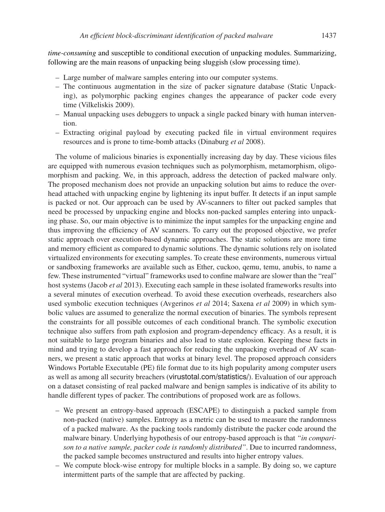*time-consuming* and susceptible to conditional execution of unpacking modules. Summarizing, following are the main reasons of unpacking being sluggish (slow processing time).

- Large number of malware samples entering into our computer systems.
- The continuous augmentation in the size of packer signature database (Static Unpacking), as polymorphic packing engines changes the appearance of packer code every time (Vilkeliskis 2009).
- Manual unpacking uses debuggers to unpack a single packed binary with human intervention.
- Extracting original payload by executing packed file in virtual environment requires resources and is prone to time-bomb attacks (Dinaburg *et al* 2008).

The volume of malicious binaries is exponentially increasing day by day. These vicious files are equipped with numerous evasion techniques such as polymorphism, metamorphism, oligomorphism and packing. We, in this approach, address the detection of packed malware only. The proposed mechanism does not provide an unpacking solution but aims to reduce the overhead attached with unpacking engine by lightening its input buffer. It detects if an input sample is packed or not. Our approach can be used by AV-scanners to filter out packed samples that need be processed by unpacking engine and blocks non-packed samples entering into unpacking phase. So, our main objective is to minimize the input samples for the unpacking engine and thus improving the efficiency of AV scanners. To carry out the proposed objective, we prefer static approach over execution-based dynamic approaches. The static solutions are more time and memory efficient as compared to dynamic solutions. The dynamic solutions rely on isolated virtualized environments for executing samples. To create these environments, numerous virtual or sandboxing frameworks are available such as Ether, cuckoo, qemu, temu, anubis, to name a few. These instrumented "virtual" frameworks used to confine malware are slower than the "real" host systems (Jacob *et al* 2013). Executing each sample in these isolated frameworks results into a several minutes of execution overhead. To avoid these execution overheads, researchers also used symbolic execution techniques (Avgerinos *et al* 2014; Saxena *et al* 2009) in which symbolic values are assumed to generalize the normal execution of binaries. The symbols represent the constraints for all possible outcomes of each conditional branch. The symbolic execution technique also suffers from path explosion and program-dependency efficacy. As a result, it is not suitable to large program binaries and also lead to state explosion. Keeping these facts in mind and trying to develop a fast approach for reducing the unpacking overhead of AV scanners, we present a static approach that works at binary level. The proposed approach considers Windows Portable Executable (PE) file format due to its high popularity among computer users as well as among all security breachers (virustotal.com/statistics/). Evaluation of our approach on a dataset consisting of real packed malware and benign samples is indicative of its ability to handle different types of packer. The contributions of proposed work are as follows.

- We present an entropy-based approach (ESCAPE) to distinguish a packed sample from non-packed (native) samples. Entropy as a metric can be used to measure the randomness of a packed malware. As the packing tools randomly distribute the packer code around the malware binary. Underlying hypothesis of our entropy-based approach is that *"in comparison to a native sample, packer code is randomly distributed"*. Due to incurred randomness, the packed sample becomes unstructured and results into higher entropy values.
- We compute block-wise entropy for multiple blocks in a sample. By doing so, we capture intermittent parts of the sample that are affected by packing.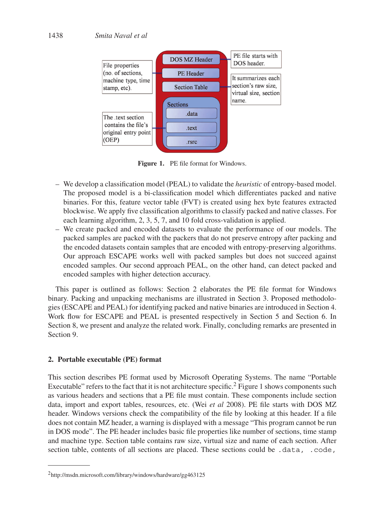

**Figure 1.** PE file format for Windows.

- We develop a classification model (PEAL) to validate the *heuristic* of entropy-based model. The proposed model is a bi-classification model which differentiates packed and native binaries. For this, feature vector table (FVT) is created using hex byte features extracted blockwise. We apply five classification algorithms to classify packed and native classes. For each learning algorithm, 2, 3, 5, 7, and 10 fold cross-validation is applied.
- We create packed and encoded datasets to evaluate the performance of our models. The packed samples are packed with the packers that do not preserve entropy after packing and the encoded datasets contain samples that are encoded with entropy-preserving algorithms. Our approach ESCAPE works well with packed samples but does not succeed against encoded samples. Our second approach PEAL, on the other hand, can detect packed and encoded samples with higher detection accuracy.

This paper is outlined as follows: Section 2 elaborates the PE file format for Windows binary. Packing and unpacking mechanisms are illustrated in Section 3. Proposed methodologies (ESCAPE and PEAL) for identifying packed and native binaries are introduced in Section 4. Work flow for ESCAPE and PEAL is presented respectively in Section 5 and Section 6. In Section 8, we present and analyze the related work. Finally, concluding remarks are presented in Section 9.

### **2. Portable executable (PE) format**

This section describes PE format used by Microsoft Operating Systems. The name "Portable Executable" refers to the fact that it is not architecture specific.<sup>2</sup> Figure 1 shows components such as various headers and sections that a PE file must contain. These components include section data, import and export tables, resources, etc. (Wei *et al* 2008). PE file starts with DOS MZ header. Windows versions check the compatibility of the file by looking at this header. If a file does not contain MZ header, a warning is displayed with a message "This program cannot be run in DOS mode". The PE header includes basic file properties like number of sections, time stamp and machine type. Section table contains raw size, virtual size and name of each section. After section table, contents of all sections are placed. These sections could be .data, .code,

<sup>2</sup>http://msdn.microsoft.com/library/windows/hardware/gg463125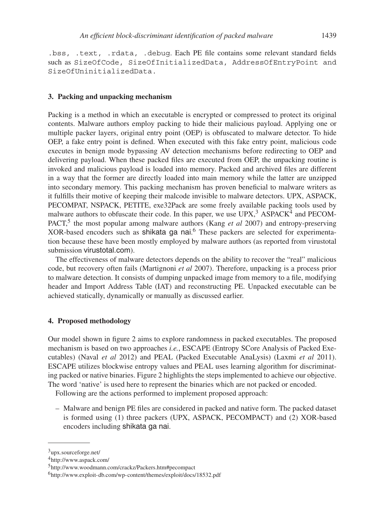.bss, .text, .rdata, .debug. Each PE file contains some relevant standard fields such as SizeOfCode, SizeOfInitializedData, AddressOfEntryPoint and SizeOfUninitializedData.

### **3. Packing and unpacking mechanism**

Packing is a method in which an executable is encrypted or compressed to protect its original contents. Malware authors employ packing to hide their malicious payload. Applying one or multiple packer layers, original entry point (OEP) is obfuscated to malware detector. To hide OEP, a fake entry point is defined. When executed with this fake entry point, malicious code executes in benign mode bypassing AV detection mechanisms before redirecting to OEP and delivering payload. When these packed files are executed from OEP, the unpacking routine is invoked and malicious payload is loaded into memory. Packed and archived files are different in a way that the former are directly loaded into main memory while the latter are unzipped into secondary memory. This packing mechanism has proven beneficial to malware writers as it fulfills their motive of keeping their malcode invisible to malware detectors. UPX, ASPACK, PECOMPAT, NSPACK, PETITE, exe32Pack are some freely available packing tools used by malware authors to obfuscate their code. In this paper, we use  $UPX$ ,  ${}^{3}$  ASPACK<sup>4</sup> and PECOM-PACT,<sup>5</sup> the most popular among malware authors (Kang *et al* 2007) and entropy-preserving XOR-based encoders such as shikata ga nai. <sup>6</sup> These packers are selected for experimentation because these have been mostly employed by malware authors (as reported from virustotal submission virustotal.com).

The effectiveness of malware detectors depends on the ability to recover the "real" malicious code, but recovery often fails (Martignoni *et al* 2007). Therefore, unpacking is a process prior to malware detection. It consists of dumping unpacked image from memory to a file, modifying header and Import Address Table (IAT) and reconstructing PE. Unpacked executable can be achieved statically, dynamically or manually as discussed earlier.

#### **4. Proposed methodology**

Our model shown in figure 2 aims to explore randomness in packed executables. The proposed mechanism is based on two approaches *i.e.*, ESCAPE (Entropy SCore Analysis of Packed Executables) (Naval *et al* 2012) and PEAL (Packed Executable AnaLysis) (Laxmi *et al* 2011). ESCAPE utilizes blockwise entropy values and PEAL uses learning algorithm for discriminating packed or native binaries. Figure 2 highlights the steps implemented to achieve our objective. The word 'native' is used here to represent the binaries which are not packed or encoded.

Following are the actions performed to implement proposed approach:

– Malware and benign PE files are considered in packed and native form. The packed dataset is formed using (1) three packers (UPX, ASPACK, PECOMPACT) and (2) XOR-based encoders including shikata ga nai.

<sup>3</sup>upx.sourceforge.net/

<sup>4</sup>http://www.aspack.com/

<sup>5</sup>http://www.woodmann.com/crackz/Packers.htm#pecompact

<sup>6</sup>http://www.exploit-db.com/wp-content/themes/exploit/docs/18532.pdf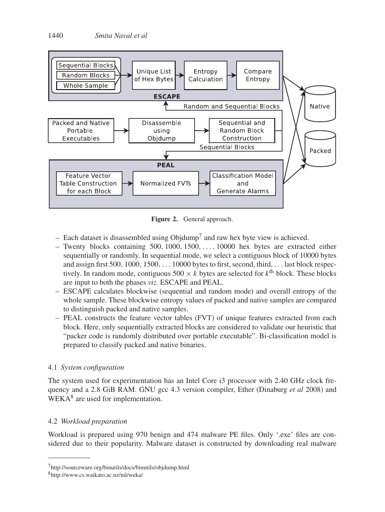

**Figure 2.** General approach.

- Each dataset is disassembled using  $\text{Objdump}^7$  and raw hex byte view is achieved.
- Twenty blocks containing 500, 1000, 1500,..., 10000 hex bytes are extracted either sequentially or randomly. In sequential mode, we select a contiguous block of 10000 bytes and assign first 500, 1000, 1500,... 10000 bytes to first, second, third, ... last block respectively. In random mode, contiguous  $500 \times k$  bytes are selected for  $k^{\text{th}}$  block. These blocks are input to both the phases *viz.* ESCAPE and PEAL.
- ESCAPE calculates blockwise (sequential and random mode) and overall entropy of the whole sample. These blockwise entropy values of packed and native samples are compared to distinguish packed and native samples.
- PEAL constructs the feature vector tables (FVT) of unique features extracted from each block. Here, only sequentially extracted blocks are considered to validate our heuristic that "packer code is randomly distributed over portable executable". Bi-classification model is prepared to classify packed and native binaries.

## 4.1 *System configuration*

The system used for experimentation has an Intel Core i3 processor with 2.40 GHz clock frequency and a 2.8 GiB RAM. GNU gcc 4.3 version compiler, Ether (Dinaburg *et al* 2008) and WEKA<sup>8</sup> are used for implementation.

# 4.2 *Workload preparation*

Workload is prepared using 970 benign and 474 malware PE files. Only '.exe' files are considered due to their popularity. Malware dataset is constructed by downloading real malware

<sup>7</sup>http://sourceware.org/binutils/docs/binutils/objdump.html

<sup>8</sup>http://www.cs.waikato.ac.nz/ml/weka/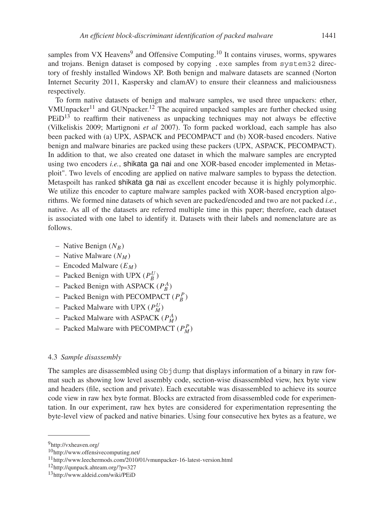samples from VX Heavens<sup>9</sup> and Offensive Computing.<sup>10</sup> It contains viruses, worms, spywares and trojans. Benign dataset is composed by copying .exe samples from system32 directory of freshly installed Windows XP. Both benign and malware datasets are scanned (Norton Internet Security 2011, Kaspersky and clamAV) to ensure their cleanness and maliciousness respectively.

To form native datasets of benign and malware samples, we used three unpackers: ether, VMUnpacker<sup>11</sup> and GUNpacker.<sup>12</sup> The acquired unpacked samples are further checked using  $PEiD<sup>13</sup>$  to reaffirm their nativeness as unpacking techniques may not always be effective (Vilkeliskis 2009; Martignoni *et al* 2007). To form packed workload, each sample has also been packed with (a) UPX, ASPACK and PECOMPACT and (b) XOR-based encoders. Native benign and malware binaries are packed using these packers (UPX, ASPACK, PECOMPACT). In addition to that, we also created one dataset in which the malware samples are encrypted using two encoders *i.e.*, shikata ga nai and one XOR-based encoder implemented in Metasploit". Two levels of encoding are applied on native malware samples to bypass the detection. Metaspoilt has ranked shikata ga nai as excellent encoder because it is highly polymorphic. We utilize this encoder to capture malware samples packed with XOR-based encryption algorithms. We formed nine datasets of which seven are packed/encoded and two are not packed *i.e.*, native. As all of the datasets are referred multiple time in this paper; therefore, each dataset is associated with one label to identify it. Datasets with their labels and nomenclature are as follows.

- Native Benign  $(N_B)$
- Native Malware  $(N_M)$
- Encoded Malware  $(E_M)$
- Packed Benign with UPX  $(P_B^U)$
- Packed Benign with ASPACK ( $P_B^A$ )
- Packed Benign with PECOMPACT  $(P_B^P)$
- Packed Malware with UPX  $(P_M^U)$
- Packed Malware with ASPACK ( $P_M^A$ )
- Packed Malware with PECOMPACT  $(P_M^P)$

### 4.3 *Sample disassembly*

The samples are disassembled using Objdump that displays information of a binary in raw format such as showing low level assembly code, section-wise disassembled view, hex byte view and headers (file, section and private). Each executable was disassembled to achieve its source code view in raw hex byte format. Blocks are extracted from disassembled code for experimentation. In our experiment, raw hex bytes are considered for experimentation representing the byte-level view of packed and native binaries. Using four consecutive hex bytes as a feature, we

<sup>9</sup>http://vxheaven.org/

<sup>10</sup>http://www.offensivecomputing.net/

<sup>11</sup>http://www.leechermods.com/2010/01/vmunpacker-16-latest-version.html

<sup>12</sup>http://qunpack.ahteam.org/?p=327

<sup>13</sup>http://www.aldeid.com/wiki/PEiD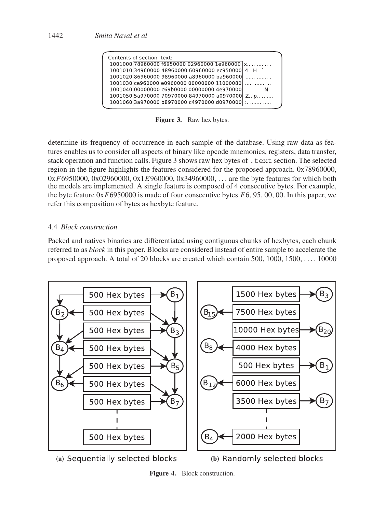| Contents of section text:                         |  |
|---------------------------------------------------|--|
| 1001000 78960000 f6950000 02960000 1e960000  x    |  |
| $1001010$ 34960000 48960000 60960000 ec950000 4H` |  |
| 100102086960000 98960000 a8960000 ba960000        |  |
| 1001030 ce960000 e0960000 00000000 11000080       |  |
| 100104000000000 c69b0000 00000000 4e970000 [ N    |  |
| 1001050 5a970000 70970000 84970000 a0970000 Zp    |  |
| 10010603a970000 b8970000 c4970000 d0970000        |  |
|                                                   |  |

**Figure 3.** Raw hex bytes.

determine its frequency of occurrence in each sample of the database. Using raw data as features enables us to consider all aspects of binary like opcode mnemonics, registers, data transfer, stack operation and function calls. Figure 3 shows raw hex bytes of .text section. The selected region in the figure highlights the features considered for the proposed approach. 0x78960000,  $0xF6950000$ ,  $0x02960000$ ,  $0x1E960000$ ,  $0x34960000$ , ... are the byte features for which both the models are implemented. A single feature is composed of 4 consecutive bytes. For example, the byte feature  $0xF6950000$  is made of four consecutive bytes  $F6, 95, 00, 00$ . In this paper, we refer this composition of bytes as hexbyte feature.

### 4.4 *Block construction*

Packed and natives binaries are differentiated using contiguous chunks of hexbytes, each chunk referred to as *block* in this paper. Blocks are considered instead of entire sample to accelerate the proposed approach. A total of 20 blocks are created which contain 500,  $1000$ ,  $1500$ , ...,  $10000$ 



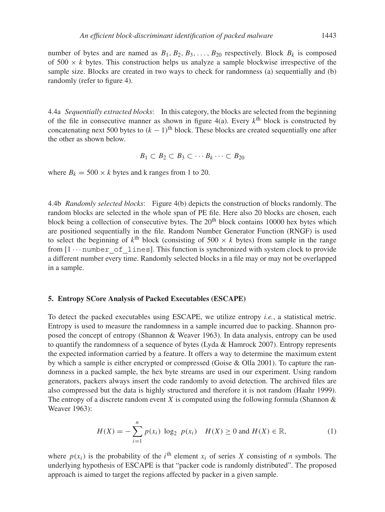number of bytes and are named as  $B_1, B_2, B_3, \ldots, B_{20}$  respectively. Block  $B_k$  is composed of  $500 \times k$  bytes. This construction helps us analyze a sample blockwise irrespective of the sample size. Blocks are created in two ways to check for randomness (a) sequentially and (b) randomly (refer to figure 4).

4.4a *Sequentially extracted blocks*: In this category, the blocks are selected from the beginning of the file in consecutive manner as shown in figure  $4(a)$ . Every  $k<sup>th</sup>$  block is constructed by concatenating next 500 bytes to  $(k - 1)$ <sup>th</sup> block. These blocks are created sequentially one after the other as shown below.

$$
B_1 \subset B_2 \subset B_3 \subset \cdots B_k \cdots \subset B_{20}
$$

where  $B_k = 500 \times k$  bytes and k ranges from 1 to 20.

4.4b *Randomly selected blocks*: Figure 4(b) depicts the construction of blocks randomly. The random blocks are selected in the whole span of PE file. Here also 20 blocks are chosen, each block being a collection of consecutive bytes. The 20<sup>th</sup> block contains 10000 hex bytes which are positioned sequentially in the file. Random Number Generator Function (RNGF) is used to select the beginning of  $k^{\text{th}}$  block (consisting of 500  $\times$  k bytes) from sample in the range from  $[1 \cdots$  number of lines]. This function is synchronized with system clock to provide a different number every time. Randomly selected blocks in a file may or may not be overlapped in a sample.

### **5. Entropy SCore Analysis of Packed Executables (ESCAPE)**

To detect the packed executables using ESCAPE, we utilize entropy *i.e.*, a statistical metric. Entropy is used to measure the randomness in a sample incurred due to packing. Shannon proposed the concept of entropy (Shannon & Weaver 1963). In data analysis, entropy can be used to quantify the randomness of a sequence of bytes (Lyda & Hamrock 2007). Entropy represents the expected information carried by a feature. It offers a way to determine the maximum extent by which a sample is either encrypted or compressed (Goise & Olla 2001). To capture the randomness in a packed sample, the hex byte streams are used in our experiment. Using random generators, packers always insert the code randomly to avoid detection. The archived files are also compressed but the data is highly structured and therefore it is not random (Haahr 1999). The entropy of a discrete random event X is computed using the following formula (Shannon  $\&$ Weaver 1963):

$$
H(X) = -\sum_{i=1}^{n} p(x_i) \log_2 p(x_i) \quad H(X) \ge 0 \text{ and } H(X) \in \mathbb{R},
$$
 (1)

where  $p(x_i)$  is the probability of the i<sup>th</sup> element  $x_i$  of series X consisting of *n* symbols. The underlying hypothesis of ESCAPE is that "packer code is randomly distributed". The proposed approach is aimed to target the regions affected by packer in a given sample.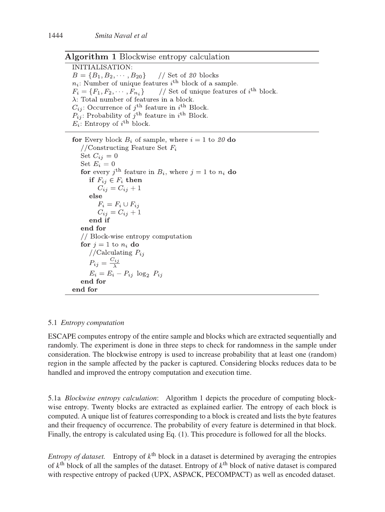### **Algorithm 1 Blockwise entropy calculation**

**INITIALISATION·**  $B = \{B_1, B_2, \cdots, B_{20}\}\$ // Set of  $20$  blocks  $n_i$ : Number of unique features i<sup>th</sup> block of a sample. // Set of unique features of  $i^{\text{th}}$  block.  $F_i = \{F_1, F_2, \cdots, F_{n_i}\}\$  $\lambda$ : Total number of features in a block.  $C_{ij}$ : Occurrence of  $j^{\text{th}}$  feature in  $i^{\text{th}}$  Block.  $P_{ij}$ : Probability of j<sup>th</sup> feature in i<sup>th</sup> Block.  $E_i$ : Entropy of  $i^{\text{th}}$  block.

**for** Every block  $B_i$  of sample, where  $i = 1$  to 20 do //Constructing Feature Set  $F_i$ Set  $C_{ij} = 0$ Set  $E_i=0$ for every  $i^{\text{th}}$  feature in  $B_i$ , where  $j = 1$  to  $n_i$  do if  $F_{ij} \in F_i$  then  $C_{ij} = C_{ij} + 1$ else  $F_i = F_i \cup F_{ij}$  $C_{ij} = C_{ij} + 1$ end if end for // Block-wise entropy computation for  $j = 1$  to  $n_i$  do //Calculating  $P_{ij}$  $P_{ij} = \frac{C_{ij}}{\lambda}$  $E_i = E_i - P_{ij} \log_2 P_{ij}$ end for end for

### 5.1 *Entropy computation*

ESCAPE computes entropy of the entire sample and blocks which are extracted sequentially and randomly. The experiment is done in three steps to check for randomness in the sample under consideration. The blockwise entropy is used to increase probability that at least one (random) region in the sample affected by the packer is captured. Considering blocks reduces data to be handled and improved the entropy computation and execution time.

5.1a *Blockwise entropy calculation*: Algorithm 1 depicts the procedure of computing blockwise entropy. Twenty blocks are extracted as explained earlier. The entropy of each block is computed. A unique list of features corresponding to a block is created and lists the byte features and their frequency of occurrence. The probability of every feature is determined in that block. Finally, the entropy is calculated using Eq. (1). This procedure is followed for all the blocks.

*Entropy of dataset.* Entropy of  $k^{\text{th}}$  block in a dataset is determined by averaging the entropies of  $k^{\text{th}}$  block of all the samples of the dataset. Entropy of  $k^{\text{th}}$  block of native dataset is compared with respective entropy of packed (UPX, ASPACK, PECOMPACT) as well as encoded dataset.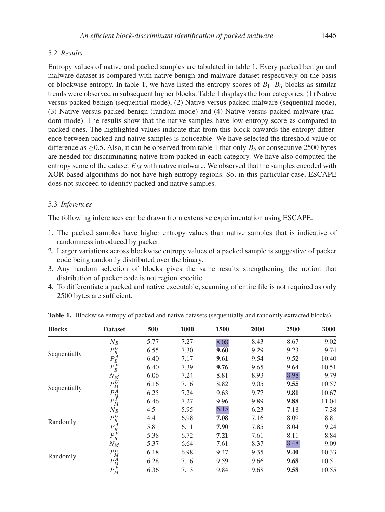### 5.2 *Results*

Entropy values of native and packed samples are tabulated in table 1. Every packed benign and malware dataset is compared with native benign and malware dataset respectively on the basis of blockwise entropy. In table 1, we have listed the entropy scores of  $B_1 - B_6$  blocks as similar trends were observed in subsequent higher blocks. Table 1 displays the four categories: (1) Native versus packed benign (sequential mode), (2) Native versus packed malware (sequential mode), (3) Native versus packed benign (random mode) and (4) Native versus packed malware (random mode). The results show that the native samples have low entropy score as compared to packed ones. The highlighted values indicate that from this block onwards the entropy difference between packed and native samples is noticeable. We have selected the threshold value of difference as  $>0.5$ . Also, it can be observed from table 1 that only  $B_5$  or consecutive 2500 bytes are needed for discriminating native from packed in each category. We have also computed the entropy score of the dataset  $E_M$  with native malware. We observed that the samples encoded with XOR-based algorithms do not have high entropy regions. So, in this particular case, ESCAPE does not succeed to identify packed and native samples.

### 5.3 *Inferences*

The following inferences can be drawn from extensive experimentation using ESCAPE:

- 1. The packed samples have higher entropy values than native samples that is indicative of randomness introduced by packer.
- 2. Larger variations across blockwise entropy values of a packed sample is suggestive of packer code being randomly distributed over the binary.
- 3. Any random selection of blocks gives the same results strengthening the notion that distribution of packer code is not region specific.
- 4. To differentiate a packed and native executable, scanning of entire file is not required as only 2500 bytes are sufficient.

| <b>Blocks</b> | <b>Dataset</b>              | 500  | 1000 | 1500 | 2000 | 2500 | 3000  |
|---------------|-----------------------------|------|------|------|------|------|-------|
|               | $N_R$                       | 5.77 | 7.27 | 8.08 | 8.43 | 8.67 | 9.02  |
| Sequentially  | $P_B^U$                     | 6.55 | 7.30 | 9.60 | 9.29 | 9.23 | 9.74  |
|               |                             | 6.40 | 7.17 | 9.61 | 9.54 | 9.52 | 10.40 |
|               | $\tilde{P^A_B}$             | 6.40 | 7.39 | 9.76 | 9.65 | 9.64 | 10.51 |
|               | $N_M$                       | 6.06 | 7.24 | 8.81 | 8.93 | 8.98 | 9.79  |
| Sequentially  | $P_M^U$                     | 6.16 | 7.16 | 8.82 | 9.05 | 9.55 | 10.57 |
|               | $\frac{P_M^A}{P_M^P}$       | 6.25 | 7.24 | 9.63 | 9.77 | 9.81 | 10.67 |
|               |                             | 6.46 | 7.27 | 9.96 | 9.89 | 9.88 | 11.04 |
|               | $N_B$                       | 4.5  | 5.95 | 6.15 | 6.23 | 7.18 | 7.38  |
| Randomly      | $P_B^U$                     | 4.4  | 6.98 | 7.08 | 7.16 | 8.09 | 8.8   |
|               | $\bar{P^A_B}_B \bar{P^P_B}$ | 5.8  | 6.11 | 7.90 | 7.85 | 8.04 | 9.24  |
|               |                             | 5.38 | 6.72 | 7.21 | 7.61 | 8.11 | 8.84  |
|               | $N_M$                       | 5.37 | 6.64 | 7.61 | 8.37 | 8.48 | 9.09  |
| Randomly      | $P_M^U$                     | 6.18 | 6.98 | 9.47 | 9.35 | 9.40 | 10.33 |
|               | $P^A_M$                     | 6.28 | 7.16 | 9.59 | 9.66 | 9.68 | 10.5  |
|               | $P_M^P$                     | 6.36 | 7.13 | 9.84 | 9.68 | 9.58 | 10.55 |

**Table 1.** Blockwise entropy of packed and native datasets (sequentially and randomly extracted blocks).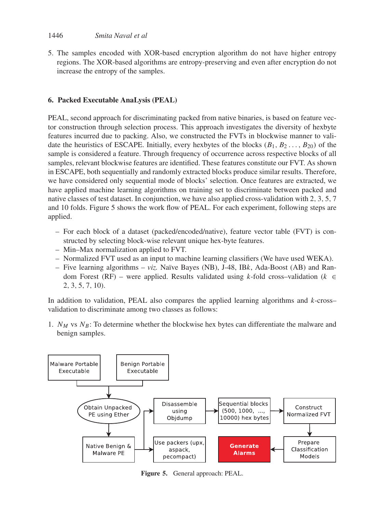5. The samples encoded with XOR-based encryption algorithm do not have higher entropy regions. The XOR-based algorithms are entropy-preserving and even after encryption do not increase the entropy of the samples.

# **6. Packed Executable AnaLysis (PEAL)**

PEAL, second approach for discriminating packed from native binaries, is based on feature vector construction through selection process. This approach investigates the diversity of hexbyte features incurred due to packing. Also, we constructed the FVTs in blockwise manner to validate the heuristics of ESCAPE. Initially, every hexbytes of the blocks  $(B_1, B_2, \ldots, B_{20})$  of the sample is considered a feature. Through frequency of occurrence across respective blocks of all samples, relevant blockwise features are identified. These features constitute our FVT. As shown in ESCAPE, both sequentially and randomly extracted blocks produce similar results. Therefore, we have considered only sequential mode of blocks' selection. Once features are extracted, we have applied machine learning algorithms on training set to discriminate between packed and native classes of test dataset. In conjunction, we have also applied cross-validation with 2, 3, 5, 7 and 10 folds. Figure 5 shows the work flow of PEAL. For each experiment, following steps are applied.

- For each block of a dataset (packed/encoded/native), feature vector table (FVT) is constructed by selecting block-wise relevant unique hex-byte features.
- Min–Max normalization applied to FVT.
- Normalized FVT used as an input to machine learning classifiers (We have used WEKA).
- Five learning algorithms *viz.* Naïve Bayes (NB), J-48, IBk, Ada-Boost (AB) and Random Forest (RF) – were applied. Results validated using k-fold cross-validation ( $k \in$ 2, 3, 5, 7, 10).

In addition to validation, PEAL also compares the applied learning algorithms and  $k$ -cross– validation to discriminate among two classes as follows:

1.  $N_M$  vs  $N_B$ : To determine whether the blockwise hex bytes can differentiate the malware and benign samples.



**Figure 5.** General approach: PEAL.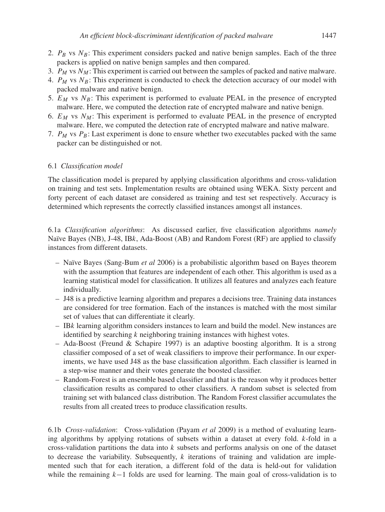- 2.  $P_B$  vs  $N_B$ : This experiment considers packed and native benign samples. Each of the three packers is applied on native benign samples and then compared.
- 3.  $P_M$  vs  $N_M$ : This experiment is carried out between the samples of packed and native malware.
- 4.  $P_M$  vs  $N_B$ : This experiment is conducted to check the detection accuracy of our model with packed malware and native benign.
- 5.  $E_M$  vs  $N_B$ : This experiment is performed to evaluate PEAL in the presence of encrypted malware. Here, we computed the detection rate of encrypted malware and native benign.
- 6.  $E_M$  vs  $N_M$ : This experiment is performed to evaluate PEAL in the presence of encrypted malware. Here, we computed the detection rate of encrypted malware and native malware.
- 7.  $P_M$  vs  $P_B$ : Last experiment is done to ensure whether two executables packed with the same packer can be distinguished or not.

## 6.1 *Classification model*

The classification model is prepared by applying classification algorithms and cross-validation on training and test sets. Implementation results are obtained using WEKA. Sixty percent and forty percent of each dataset are considered as training and test set respectively. Accuracy is determined which represents the correctly classified instances amongst all instances.

6.1a *Classification algorithms*: As discussed earlier, five classification algorithms *namely* Naïve Bayes (NB), J-48, IBk, Ada-Boost (AB) and Random Forest (RF) are applied to classify instances from different datasets.

- Naïve Bayes (Sang-Bum *et al* 2006) is a probabilistic algorithm based on Bayes theorem with the assumption that features are independent of each other. This algorithm is used as a learning statistical model for classification. It utilizes all features and analyzes each feature individually.
- J48 is a predictive learning algorithm and prepares a decisions tree. Training data instances are considered for tree formation. Each of the instances is matched with the most similar set of values that can differentiate it clearly.
- $-$  IBk learning algorithm considers instances to learn and build the model. New instances are identified by searching k neighboring training instances with highest votes.
- $-$  Ada-Boost (Freund & Schapire 1997) is an adaptive boosting algorithm. It is a strong classifier composed of a set of weak classifiers to improve their performance. In our experiments, we have used J48 as the base classification algorithm. Each classifier is learned in a step-wise manner and their votes generate the boosted classifier.
- Random-Forest is an ensemble based classifier and that is the reason why it produces better classification results as compared to other classifiers. A random subset is selected from training set with balanced class distribution. The Random Forest classifier accumulates the results from all created trees to produce classification results.

6.1b *Cross-validation*: Cross-validation (Payam *et al* 2009) is a method of evaluating learning algorithms by applying rotations of subsets within a dataset at every fold. k-fold in a cross-validation partitions the data into  $k$  subsets and performs analysis on one of the dataset to decrease the variability. Subsequently,  $k$  iterations of training and validation are implemented such that for each iteration, a different fold of the data is held-out for validation while the remaining  $k-1$  folds are used for learning. The main goal of cross-validation is to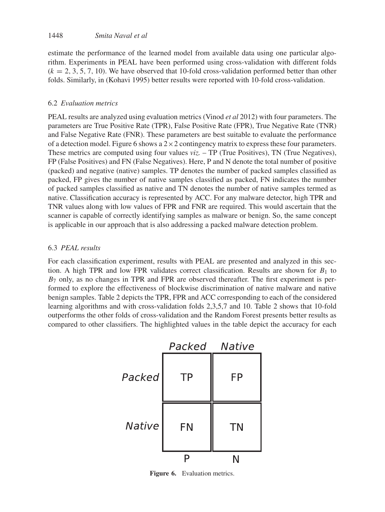### 1448 *Smita Naval et al*

estimate the performance of the learned model from available data using one particular algorithm. Experiments in PEAL have been performed using cross-validation with different folds  $(k = 2, 3, 5, 7, 10)$ . We have observed that 10-fold cross-validation performed better than other folds. Similarly, in (Kohavi 1995) better results were reported with 10-fold cross-validation.

### 6.2 *Evaluation metrics*

PEAL results are analyzed using evaluation metrics (Vinod *et al* 2012) with four parameters. The parameters are True Positive Rate (TPR), False Positive Rate (FPR), True Negative Rate (TNR) and False Negative Rate (FNR). These parameters are best suitable to evaluate the performance of a detection model. Figure 6 shows a  $2 \times 2$  contingency matrix to express these four parameters. These metrics are computed using four values *viz.* – TP (True Positives), TN (True Negatives), FP (False Positives) and FN (False Negatives). Here, P and N denote the total number of positive (packed) and negative (native) samples. TP denotes the number of packed samples classified as packed, FP gives the number of native samples classified as packed, FN indicates the number of packed samples classified as native and TN denotes the number of native samples termed as native. Classification accuracy is represented by ACC. For any malware detector, high TPR and TNR values along with low values of FPR and FNR are required. This would ascertain that the scanner is capable of correctly identifying samples as malware or benign. So, the same concept is applicable in our approach that is also addressing a packed malware detection problem.

### 6.3 *PEAL results*

For each classification experiment, results with PEAL are presented and analyzed in this section. A high TPR and low FPR validates correct classification. Results are shown for  $B_1$  to  $B<sub>7</sub>$  only, as no changes in TPR and FPR are observed thereafter. The first experiment is performed to explore the effectiveness of blockwise discrimination of native malware and native benign samples. Table 2 depicts the TPR, FPR and ACC corresponding to each of the considered learning algorithms and with cross-validation folds 2,3,5,7 and 10. Table 2 shows that 10-fold outperforms the other folds of cross-validation and the Random Forest presents better results as compared to other classifiers. The highlighted values in the table depict the accuracy for each



**Figure 6.** Evaluation metrics.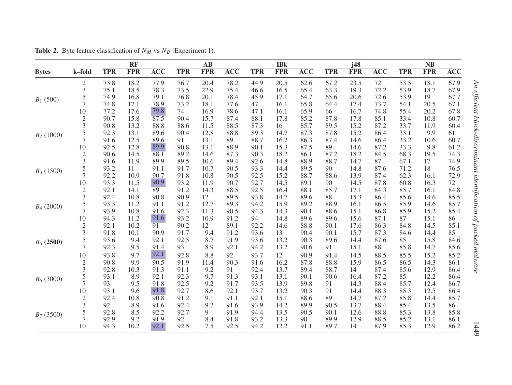|              |                |            | <b>RF</b>  |                  |            | $\mathbf{A}\mathbf{B}$ |                  |            | <b>IBk</b> |                  |            | j48        |                  |            | <b>NB</b>  |                  |
|--------------|----------------|------------|------------|------------------|------------|------------------------|------------------|------------|------------|------------------|------------|------------|------------------|------------|------------|------------------|
| <b>Bytes</b> | k-fold         | <b>TPR</b> | <b>FPR</b> | $\overline{ACC}$ | <b>TPR</b> | <b>FPR</b>             | $\overline{ACC}$ | <b>TPR</b> | <b>FPR</b> | $\overline{ACC}$ | <b>TPR</b> | <b>FPR</b> | $\overline{ACC}$ | <b>TPR</b> | <b>FPR</b> | $\overline{ACC}$ |
|              | $\overline{c}$ | 73.8       | 18.2       | 77.9             | 76.7       | 20.4                   | 78.2             | 44.9       | 20.5       | 62.6             | 67.2       | 23.5       | 72               | 53.5       | 18.1       | 67.9             |
|              | 3              | 75.1       | 18.5       | 78.3             | 73.5       | 22.9                   | 75.4             | 46.6       | 16.5       | 65.4             | 63.3       | 19.3       | 72.2             | 53.9       | 18.7       | 67.9             |
| $B_1(500)$   | 5              | 74.9       | 16.8       | 79.1             | 76.8       | 20.1                   | 78.4             | 45.9       | 17.1       | 64.7             | 65.6       | 20.6       | 72.6             | 53.9       | 19         | 67.7             |
|              | 7              | 74.8       | 17.1       | 78.9             | 73.2       | 18.1                   | 77.6             | 47         | 16.1       | 65.8             | 64.4       | 17.4       | 73.7             | 54.1       | 20.5       | 67.1             |
|              | 10             | 77.2       | 17.6       | 79.8             | 74         | 16.9                   | 78.6             | 47.1       | 16.1       | 65.9             | 66         | 16.7       | 74.8             | 55.4       | 20.2       | 67.8             |
|              | $\overline{c}$ | 90.7       | 15.8       | 87.5             | 90.4       | 15.7                   | 87.4             | 88.1       | 17.8       | 85.2             | 87.8       | 17.8       | 85.1             | 33.4       | 10.8       | 60.7             |
|              | 3              | 90.8       | 13.2       | 88.8             | 88.6       | 11.5                   | 88.5             | 87.3       | 16         | 85.7             | 89.5       | 15.2       | 87.2             | 33.7       | 11.9       | 60.4             |
| $B_2(1000)$  | 5              | 92.3       | 13.1       | 89.6             | 90.4       | 12.8                   | 88.8             | 89.3       | 14.7       | 87.3             | 87.8       | 15.2       | 86.4             | 33.1       | 9.9        | 61               |
|              | $\overline{7}$ | 91.6       | 12.5       | 89.6             | 91         | 13.1                   | 89               | 88.7       | 16.2       | 86.3             | 87.4       | 14.6       | 86.4             | 33.2       | 10.6       | 60.7             |
|              | $10\,$         | 92.5       | 12.8       | 89.9             | 90.8       | 13.1                   | 88.9             | 90.1       | 15.3       | 87.5             | 89         | 14.6       | 87.2             | 33.3       | 9.8        | 61.2             |
|              | $\overline{2}$ | 90.6       | 14.5       | 88.1             | 89.2       | 14.6                   | 87.3             | 90.3       | 18.2       | 86.1             | 87.2       | 18.2       | 84.5             | 68.3       | 19.5       | 74.3             |
|              | 3              | 91.6       | 11.9       | 89.9             | 89.5       | 10.6                   | 89.4             | 92.6       | 14.8       | 88.9             | 88.7       | 14.7       | 87               | 67.1       | 17         | 74.9             |
| $B_3(1500)$  | 5              | 93.2       | 11         | 91.1             | 91.7       | 10.7                   | 90.5             | 93.3       | 14.4       | 89.5             | 90         | 14.8       | 87.6             | 71.2       | 18         | 76.5             |
|              | 7              | 92.2       | 10.9       | 90.7             | 91.8       | 10.8                   | 90.5             | 92.5       | 15.2       | 88.7             | 88.6       | 13.9       | 87.4             | 62.3       | 16.1       | 72.9             |
|              | 10             | 93.3       | 11.5       | 90.9             | 93.2       | 11.9                   | 90.7             | 92.7       | 14.5       | 89.1             | 90         | 14.5       | 87.8             | 60.8       | 16.3       | 72               |
|              | $\overline{c}$ | 92.1       | 14.1       | 89               | 91.2       | 14.3                   | 88.5             | 92.5       | 16.4       | 88.1             | 85.7       | 17.1       | 84.3             | 85.7       | 16.1       | 84.8             |
|              | 3              | 92.4       | 10.8       | 90.8             | 90.9       | 12                     | 89.5             | 93.8       | 14.7       | 89.6             | 88         | 15.3       | 86.4             | 85.6       | 14.6       | 85.5             |
| $B_4(2000)$  | 5              | 93.3       | 11.2       | 91.1             | 91.2       | 12.7                   | 89.3             | 94.2       | 15.9       | 89.2             | 88.9       | 16.1       | 86.5             | 85.9       | 14.6       | 85.7             |
|              | 7              | 93.9       | 10.8       | 91.6             | 92.3       | 11.3                   | 90.5             | 94.3       | 14.3       | 90.1             | 88.6       | 15.1       | 86.8             | 85.9       | 15.2       | 85.4             |
|              | 10             | 94.3       | 11.2       | 91.6             | 93.2       | 10.9                   | 91.2             | 94         | 14.8       | 89.6             | 89.6       | 15.6       | 87.1             | 87         | 15.1       | 86               |
|              | $\overline{2}$ | 92.1       | 10.2       | 91               | 90.2       | 12                     | 89.1             | 92.2       | 14.6       | 88.8             | 90.1       | 17.6       | 86.3             | 84.8       | 14.5       | 85.1             |
|              | 3              | 91.8       | 10.1       | 90.9             | 91.7       | 9.4                    | 91.2             | 93.6       | 13         | 90.4             | 90.1       | 15.7       | 87.3             | 84.6       | 14.4       | 85               |
| $B_5(2500)$  | 5              | 93.6       | 9.4        | 92.1             | 92.5       | 8.7                    | 91.9             | 93.6       | 13.2       | 90.3             | 89.6       | 14.4       | 87.6             | 85         | 15.8       | 84.6             |
|              | $\overline{7}$ | 92.3       | 9.5        | 91.4             | 93         | 8.9                    | 92.1             | 94.2       | 13.2       | 90.6             | 91         | 15.1       | 88               | 85.8       | 14.7       | 85.6             |
|              | 10             | 93.8       | 9.7        | 92.1             | 92.8       | 8.8                    | 92               | 93.7       | 12         | 90.9             | 91.4       | 14.5       | 88.5             | 85.5       | 15.2       | 85.2             |
|              | $\overline{c}$ | 90.8       | 9.9        | 90.5             | 91.9       | 11.4                   | 90.3             | 91.6       | 16.2       | 87.8             | 88.8       | 15.9       | 86.5             | 86.5       | 14.3       | 86.1             |
|              | 3              | 92.8       | 10.3       | 91.3             | 91.1       | 9.2                    | 91               | 92.4       | 13.7       | 89.4             | 88.7       | 14         | 87.4             | 85.6       | 12.9       | 86.4             |
| $B_6$ (3000) | 5              | 93.1       | 8.9        | 92.1             | 92.3       | 9.7                    | 91.3             | 93.1       | 13.1       | 90.1             | 90.6       | 16.4       | 87.2             | 85         | 12.2       | 86.4             |
|              | 7              | 93         | 9.5        | 91.8             | 92.5       | 9.2                    | 91.7             | 93.5       | 13.9       | 89.8             | 91         | 14.3       | 88.4             | 85.7       | 12.4       | 86.7             |
|              | 10             | 93.1       | 9.6        | 91.8             | 92.7       | 8.6                    | 92.1             | 93.7       | 13.2       | 90.3             | 91         | 14.4       | 88.3             | 85.3       | 12.5       | 86.4             |
|              | $\mathfrak{2}$ | 92.4       | 10.8       | 90.8             | 91.2       | 9.1                    | 91.1             | 92.1       | 15.1       | 88.6             | 89         | 14.7       | 87.2             | 85.8       | 14.4       | 85.7             |
|              | 3              | 92         | 8.9        | 91.6             | 92.4       | 9.2                    | 91.6             | 93.9       | 14.2       | 89.9             | 90.5       | 13.7       | 88.4             | 85.4       | 13.5       | 86               |
| $B_7$ (3500) | 5              | 92.8       | 8.5        | 92.2             | 92.7       | 9                      | 91.9             | 94.4       | 13.5       | 90.5             | 90.1       | 12.6       | 88.8             | 85.3       | 13.8       | 85.8             |
|              | $\overline{7}$ | 92.9       | 9.2        | 91.9             | 92         | 8.4                    | 91.8             | 93.2       | 13.3       | 90               | 89.9       | 12.9       | 88.5             | 85.2       | 13.1       | 86.1             |
|              | 10             | 94.3       | 10.2       | 92.1             | 92.5       | 7.5                    | 92.5             | 94.2       | 12.2       | 91.1             | 89.7       | 14         | 87.9             | 85.3       | 12.9       | 86.2             |

**Table 2.** Byte feature classification of  $N_M$  vs  $N_B$  (Experiment 1).

1449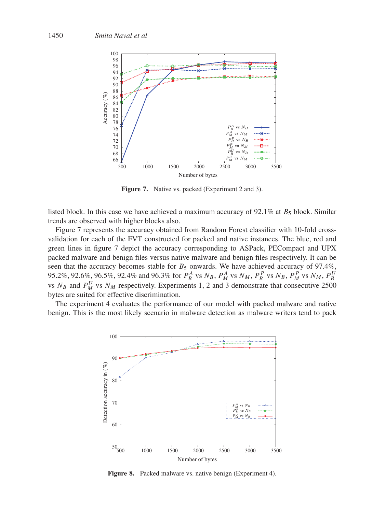

**Figure 7.** Native vs. packed (Experiment 2 and 3).

listed block. In this case we have achieved a maximum accuracy of 92.1% at  $B_5$  block. Similar trends are observed with higher blocks also.

Figure 7 represents the accuracy obtained from Random Forest classifier with 10-fold crossvalidation for each of the FVT constructed for packed and native instances. The blue, red and green lines in figure 7 depict the accuracy corresponding to ASPack, PECompact and UPX packed malware and benign files versus native malware and benign files respectively. It can be seen that the accuracy becomes stable for  $B_5$  onwards. We have achieved accuracy of 97.4%, 95.2%, 92.6%, 96.5%, 92.4% and 96.3% for  $P_A^A$  vs  $N_B$ ,  $P_M^A$  vs  $N_M$ ,  $P_B^P$  vs  $N_B$ ,  $P_M^P$  vs  $N_M$ ,  $P_B^U$ vs  $N_B$  and  $P_M^U$  vs  $N_M$  respectively. Experiments 1, 2 and 3 demonstrate that consecutive 2500 bytes are suited for effective discrimination.

The experiment 4 evaluates the performance of our model with packed malware and native benign. This is the most likely scenario in malware detection as malware writers tend to pack



**Figure 8.** Packed malware vs. native benign (Experiment 4).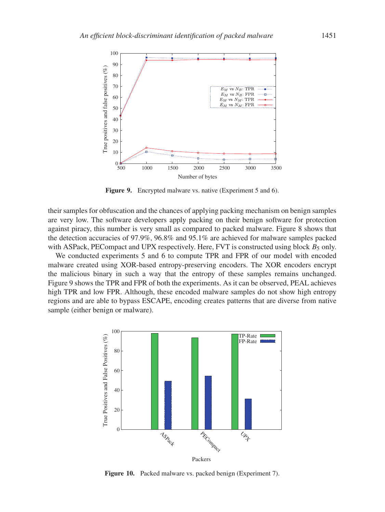

**Figure 9.** Encrypted malware vs. native (Experiment 5 and 6).

their samples for obfuscation and the chances of applying packing mechanism on benign samples are very low. The software developers apply packing on their benign software for protection against piracy, this number is very small as compared to packed malware. Figure 8 shows that the detection accuracies of 97.9%, 96.8% and 95.1% are achieved for malware samples packed with ASPack, PECompact and UPX respectively. Here, FVT is constructed using block  $B_5$  only.

We conducted experiments 5 and 6 to compute TPR and FPR of our model with encoded malware created using XOR-based entropy-preserving encoders. The XOR encoders encrypt the malicious binary in such a way that the entropy of these samples remains unchanged. Figure 9 shows the TPR and FPR of both the experiments. As it can be observed, PEAL achieves high TPR and low FPR. Although, these encoded malware samples do not show high entropy regions and are able to bypass ESCAPE, encoding creates patterns that are diverse from native sample (either benign or malware).



**Figure 10.** Packed malware vs. packed benign (Experiment 7).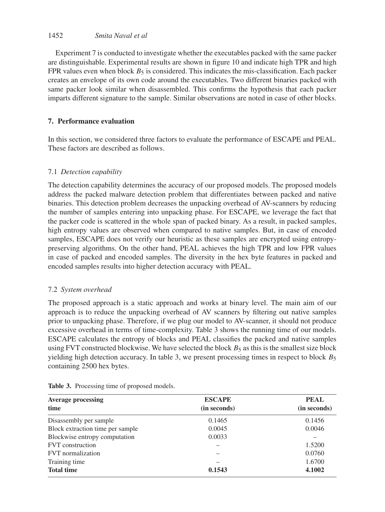# 1452 *Smita Naval et al*

Experiment 7 is conducted to investigate whether the executables packed with the same packer are distinguishable. Experimental results are shown in figure 10 and indicate high TPR and high FPR values even when block  $B_5$  is considered. This indicates the mis-classification. Each packer creates an envelope of its own code around the executables. Two different binaries packed with same packer look similar when disassembled. This confirms the hypothesis that each packer imparts different signature to the sample. Similar observations are noted in case of other blocks.

## **7. Performance evaluation**

In this section, we considered three factors to evaluate the performance of ESCAPE and PEAL. These factors are described as follows.

## 7.1 *Detection capability*

The detection capability determines the accuracy of our proposed models. The proposed models address the packed malware detection problem that differentiates between packed and native binaries. This detection problem decreases the unpacking overhead of AV-scanners by reducing the number of samples entering into unpacking phase. For ESCAPE, we leverage the fact that the packer code is scattered in the whole span of packed binary. As a result, in packed samples, high entropy values are observed when compared to native samples. But, in case of encoded samples, ESCAPE does not verify our heuristic as these samples are encrypted using entropypreserving algorithms. On the other hand, PEAL achieves the high TPR and low FPR values in case of packed and encoded samples. The diversity in the hex byte features in packed and encoded samples results into higher detection accuracy with PEAL.

### 7.2 *System overhead*

The proposed approach is a static approach and works at binary level. The main aim of our approach is to reduce the unpacking overhead of AV scanners by filtering out native samples prior to unpacking phase. Therefore, if we plug our model to AV-scanner, it should not produce excessive overhead in terms of time-complexity. Table 3 shows the running time of our models. ESCAPE calculates the entropy of blocks and PEAL classifies the packed and native samples using FVT constructed blockwise. We have selected the block  $B_5$  as this is the smallest size block yielding high detection accuracy. In table 3, we present processing times in respect to block  $B_5$ containing 2500 hex bytes.

| <b>Average processing</b>        | <b>ESCAPE</b> | <b>PEAL</b><br>(in seconds) |  |  |
|----------------------------------|---------------|-----------------------------|--|--|
| time                             | (in seconds)  |                             |  |  |
| Disassembly per sample           | 0.1465        | 0.1456                      |  |  |
| Block extraction time per sample | 0.0045        | 0.0046                      |  |  |
| Blockwise entropy computation    | 0.0033        |                             |  |  |
| <b>FVT</b> construction          |               | 1.5200                      |  |  |
| FVT normalization                |               | 0.0760                      |  |  |
| Training time                    |               | 1.6700                      |  |  |
| <b>Total time</b>                | 0.1543        | 4.1002                      |  |  |

**Table 3.** Processing time of proposed models.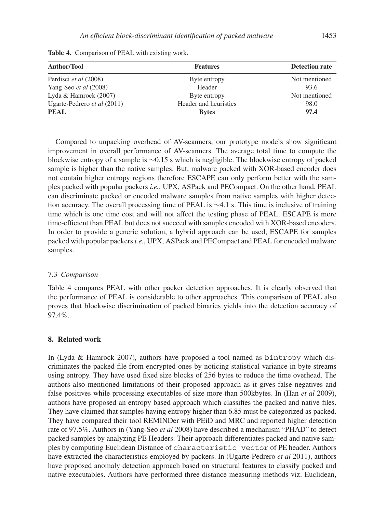| <b>Author/Tool</b>          | <b>Features</b>       | <b>Detection rate</b> |  |  |
|-----------------------------|-----------------------|-----------------------|--|--|
| Perdisci et al (2008)       | Byte entropy          | Not mentioned         |  |  |
| Yang-Seo et al (2008)       | Header                | 93.6                  |  |  |
| Lyda & Hamrock (2007)       | Byte entropy          | Not mentioned         |  |  |
| Ugarte-Pedrero et al (2011) | Header and heuristics | 98.0                  |  |  |
| <b>PEAL</b>                 | <b>Bytes</b>          | 97.4                  |  |  |

**Table 4.** Comparison of PEAL with existing work.

Compared to unpacking overhead of AV-scanners, our prototype models show significant improvement in overall performance of AV-scanners. The average total time to compute the blockwise entropy of a sample is ∼0.15 s which is negligible. The blockwise entropy of packed sample is higher than the native samples. But, malware packed with XOR-based encoder does not contain higher entropy regions therefore ESCAPE can only perform better with the samples packed with popular packers *i.e.*, UPX, ASPack and PECompact. On the other hand, PEAL can discriminate packed or encoded malware samples from native samples with higher detection accuracy. The overall processing time of PEAL is ∼4.1 s. This time is inclusive of training time which is one time cost and will not affect the testing phase of PEAL. ESCAPE is more time-efficient than PEAL but does not succeed with samples encoded with XOR-based encoders. In order to provide a generic solution, a hybrid approach can be used, ESCAPE for samples packed with popular packers *i.e.*, UPX, ASPack and PECompact and PEAL for encoded malware samples.

#### 7.3 *Comparison*

Table 4 compares PEAL with other packer detection approaches. It is clearly observed that the performance of PEAL is considerable to other approaches. This comparison of PEAL also proves that blockwise discrimination of packed binaries yields into the detection accuracy of 97.4%.

#### **8. Related work**

In (Lyda & Hamrock 2007), authors have proposed a tool named as bintropy which discriminates the packed file from encrypted ones by noticing statistical variance in byte streams using entropy. They have used fixed size blocks of 256 bytes to reduce the time overhead. The authors also mentioned limitations of their proposed approach as it gives false negatives and false positives while processing executables of size more than 500kbytes. In (Han *et al* 2009), authors have proposed an entropy based approach which classifies the packed and native files. They have claimed that samples having entropy higher than 6.85 must be categorized as packed. They have compared their tool REMINDer with PEiD and MRC and reported higher detection rate of 97.5%. Authors in (Yang-Seo *et al* 2008) have described a mechanism "PHAD" to detect packed samples by analyzing PE Headers. Their approach differentiates packed and native samples by computing Euclidean Distance of characteristic vector of PE header. Authors have extracted the characteristics employed by packers. In (Ugarte-Pedrero *et al* 2011), authors have proposed anomaly detection approach based on structural features to classify packed and native executables. Authors have performed three distance measuring methods viz. Euclidean,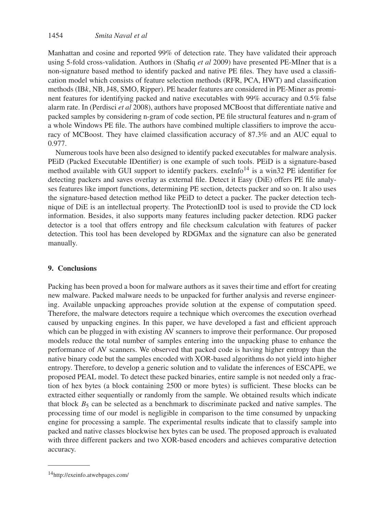Manhattan and cosine and reported 99% of detection rate. They have validated their approach using 5-fold cross-validation. Authors in (Shafiq *et al* 2009) have presented PE-MIner that is a non-signature based method to identify packed and native PE files. They have used a classification model which consists of feature selection methods (RFR, PCA, HWT) and classification methods (IBk, NB, J48, SMO, Ripper). PE header features are considered in PE-Miner as prominent features for identifying packed and native executables with 99% accuracy and 0.5% false alarm rate. In (Perdisci *et al* 2008), authors have proposed MCBoost that differentiate native and packed samples by considering n-gram of code section, PE file structural features and n-gram of a whole Windows PE file. The authors have combined multiple classifiers to improve the accuracy of MCBoost. They have claimed classification accuracy of 87.3% and an AUC equal to 0.977.

Numerous tools have been also designed to identify packed executables for malware analysis. PEiD (Packed Executable IDentifier) is one example of such tools. PEiD is a signature-based method available with GUI support to identify packers. exeInfo<sup>14</sup> is a win32 PE identifier for detecting packers and saves overlay as external file. Detect it Easy (DiE) offers PE file analyses features like import functions, determining PE section, detects packer and so on. It also uses the signature-based detection method like PEiD to detect a packer. The packer detection technique of DiE is an intellectual property. The ProtectionID tool is used to provide the CD lock information. Besides, it also supports many features including packer detection. RDG packer detector is a tool that offers entropy and file checksum calculation with features of packer detection. This tool has been developed by RDGMax and the signature can also be generated manually.

### **9. Conclusions**

Packing has been proved a boon for malware authors as it saves their time and effort for creating new malware. Packed malware needs to be unpacked for further analysis and reverse engineering. Available unpacking approaches provide solution at the expense of computation speed. Therefore, the malware detectors require a technique which overcomes the execution overhead caused by unpacking engines. In this paper, we have developed a fast and efficient approach which can be plugged in with existing AV scanners to improve their performance. Our proposed models reduce the total number of samples entering into the unpacking phase to enhance the performance of AV scanners. We observed that packed code is having higher entropy than the native binary code but the samples encoded with XOR-based algorithms do not yield into higher entropy. Therefore, to develop a generic solution and to validate the inferences of ESCAPE, we proposed PEAL model. To detect these packed binaries, entire sample is not needed only a fraction of hex bytes (a block containing 2500 or more bytes) is sufficient. These blocks can be extracted either sequentially or randomly from the sample. We obtained results which indicate that block  $B_5$  can be selected as a benchmark to discriminate packed and native samples. The processing time of our model is negligible in comparison to the time consumed by unpacking engine for processing a sample. The experimental results indicate that to classify sample into packed and native classes blockwise hex bytes can be used. The proposed approach is evaluated with three different packers and two XOR-based encoders and achieves comparative detection accuracy.

<sup>14</sup>http://exeinfo.atwebpages.com/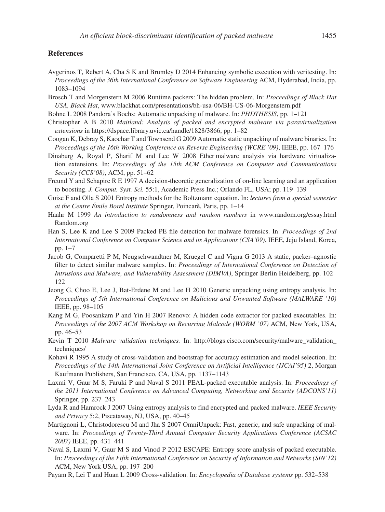### **References**

- Avgerinos T, Rebert A, Cha S K and Brumley D 2014 Enhancing symbolic execution with veritesting. In: *Proceedings of the 36th International Conference on Software Engineering* ACM, Hyderabad, India, pp. 1083–1094
- Brosch T and Morgenstern M 2006 Runtime packers: The hidden problem. In: *Proceedings of Black Hat USA, Black Hat*, www.blackhat.com/presentations/bh-usa-06/BH-US-06-Morgenstern.pdf
- Bohne L 2008 Pandora's Bochs: Automatic unpacking of malware. In: *PHDTHESIS*, pp. 1–121
- Christopher A B 2010 *Maitland: Analysis of packed and encrypted malware via paravirtualization extensions* in https://dspace.library.uvic.ca/handle/1828/3866, pp. 1–82
- Coogan K, Debray S, Kaochar T and Townsend G 2009 Automatic static unpacking of malware binaries. In: *Proceedings of the 16th Working Conference on Reverse Engineering (WCRE '09)*, IEEE, pp. 167–176
- Dinaburg A, Royal P, Sharif M and Lee W 2008 Ether malware analysis via hardware virtualization extensions. In: *Proceedings of the 15th ACM Conference on Computer and Communications Security (CCS'08)*, ACM, pp. 51–62
- Freund Y and Schapire R E 1997 A decision-theoretic generalization of on-line learning and an application to boosting. *J. Comput. Syst. Sci.* 55:1, Academic Press Inc.; Orlando FL, USA; pp. 119–139
- Goise F and Olla S 2001 Entropy methods for the Boltzmann equation. In: *lectures from a special semester at the Centre Émile Borel Institute* Springer, Poincarè, Paris, pp. 1–14
- Haahr M 1999 *An introduction to randomness and random numbers* in www.random.org/essay.html Random.org
- Han S, Lee K and Lee S 2009 Packed PE file detection for malware forensics. In: *Proceedings of 2nd International Conference on Computer Science and its Applications (CSA'09)*, IEEE, Jeju Island, Korea, pp. 1–7
- Jacob G, Comparetti P M, Neugschwandtner M, Kruegel C and Vigna G 2013 A static, packer–agnostic filter to detect similar malware samples. In: *Proceedings of International Conference on Detection of Intrusions and Malware, and Vulnerability Assessment (DIMVA)*, Springer Berlin Heidelberg, pp. 102– 122
- Jeong G, Choo E, Lee J, Bat-Erdene M and Lee H 2010 Generic unpacking using entropy analysis. In: *Proceedings of 5th International Conference on Malicious and Unwanted Software (MALWARE '10)* IEEE, pp. 98–105
- Kang M G, Poosankam P and Yin H 2007 Renovo: A hidden code extractor for packed executables. In: *Proceedings of the 2007 ACM Workshop on Recurring Malcode (WORM '07)* ACM, New York, USA, pp. 46–53
- Kevin T 2010 *Malware validation techniques.* In: http://blogs.cisco.com/security/malware\_validation\_ techniques/
- Kohavi R 1995 A study of cross-validation and bootstrap for accuracy estimation and model selection. In: *Proceedings of the 14th International Joint Conference on Artificial Intelligence (IJCAI'95)* 2, Morgan Kaufmann Publishers, San Francisco, CA, USA, pp. 1137–1143
- Laxmi V, Gaur M S, Faruki P and Naval S 2011 PEAL-packed executable analysis. In: *Proceedings of the 2011 International Conference on Advanced Computing, Networking and Security (ADCONS'11)* Springer, pp. 237–243
- Lyda R and Hamrock J 2007 Using entropy analysis to find encrypted and packed malware. *IEEE Security and Privacy* 5:2, Piscataway, NJ, USA, pp. 40–45
- Martignoni L, Christodorescu M and Jha S 2007 OmniUnpack: Fast, generic, and safe unpacking of malware. In: *Proceedings of Twenty-Third Annual Computer Security Applications Conference (ACSAC 2007)* IEEE, pp. 431–441
- Naval S, Laxmi V, Gaur M S and Vinod P 2012 ESCAPE: Entropy score analysis of packed executable. In: *Proceedings of the Fifth International Conference on Security of Information and Networks (SIN'12)* ACM, New York USA, pp. 197–200
- Payam R, Lei T and Huan L 2009 Cross-validation. In: *Encyclopedia of Database systems* pp. 532–538